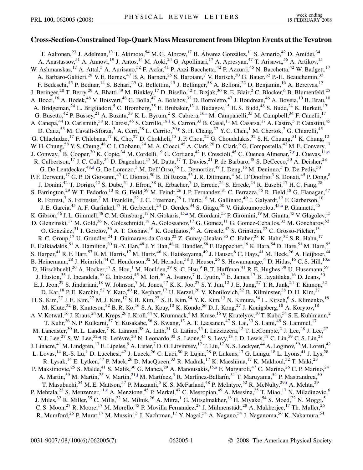## **Cross-Section-Constrained Top-Quark Mass Measurement from Dilepton Events at the Tevatron**

<span id="page-0-9"></span><span id="page-0-8"></span><span id="page-0-7"></span><span id="page-0-6"></span><span id="page-0-5"></span><span id="page-0-4"></span><span id="page-0-3"></span><span id="page-0-2"></span><span id="page-0-1"></span><span id="page-0-0"></span>T. Aaltonen,<sup>23</sup> J. Adelman,<sup>13</sup> T. Akimoto,<sup>54</sup> M. G. Albrow,<sup>17</sup> B. Álvarez González,<sup>11</sup> S. Amerio,<sup>42</sup> D. Amidei,<sup>34</sup> A. Anastassov,<sup>51</sup> A. Annovi,<sup>19</sup> J. Antos,<sup>14</sup> M. Aoki,<sup>24</sup> G. Apollinari,<sup>17</sup> A. Apresyan,<sup>47</sup> T. Arisawa,<sup>56</sup> A. Artikov,<sup>15</sup> W. Ashmanskas,<sup>17</sup> A. Attal,<sup>3</sup> A. Aurisano,<sup>52</sup> F. Azfar,<sup>41</sup> P. Azzi-Bacchetta,<sup>42</sup> P. Azzurri,<sup>45</sup> N. Bacchetta,<sup>42</sup> W. Badgett,<sup>17</sup> A. Barbaro-Galtieri,<sup>28</sup> V. E. Barnes,<sup>47</sup> B. A. Barnett,<sup>25</sup> S. Baroiant,<sup>7</sup> V. Bartsch,<sup>30</sup> G. Bauer,<sup>32</sup> P.-H. Beauchemin,<sup>33</sup> F. Bedeschi,<sup>45</sup> P. Bednar,<sup>14</sup> S. Behari,<sup>25</sup> G. Bellettini,<sup>45</sup> J. Bellinger,<sup>58</sup> A. Belloni,<sup>22</sup> D. Benjamin,<sup>16</sup> A. Beretvas,<sup>17</sup> J. Beringer,<sup>28</sup> T. Berry,<sup>29</sup> A. Bhatti,<sup>49</sup> M. Binkley,<sup>17</sup> D. Bisello,<sup>42</sup> I. Bizjak,<sup>30</sup> R. E. Blair,<sup>2</sup> C. Blocker,<sup>6</sup> B. Blumenfeld,<sup>25</sup> A. Bocci,<sup>16</sup> A. Bodek,<sup>48</sup> V. Boisvert,<sup>48</sup> G. Bolla,<sup>47</sup> A. Bolshov,<sup>32</sup> D. Bortoletto,<sup>47</sup> J. Boudreau,<sup>46</sup> A. Boveia,<sup>10</sup> B. Brau,<sup>10</sup> A. Bridgeman,<sup>24</sup> L. Brigliadori,<sup>5</sup> C. Bromberg,<sup>35</sup> E. Brubaker,<sup>13</sup> J. Budagov,<sup>15</sup> H. S. Budd,<sup>48</sup> S. Budd,<sup>24</sup> K. Burkett,<sup>17</sup> G. Busetto,<sup>42</sup> P. Bussey,<sup>21</sup> A. Buzatu,<sup>33</sup> K. L. By[r](#page-6-0)um,<sup>2</sup> S. Cabrera,<sup>16,r</sup> M. Campanelli,<sup>35</sup> M. Campbell,<sup>34</sup> F. Canelli,<sup>17</sup> A. Canepa,<sup>44</sup> D. Car[l](#page-6-1)smith,<sup>58</sup> R. Carosi,<sup>45</sup> S. Carrillo,<sup>18,1</sup> S. Carron,<sup>33</sup> B. Casal,<sup>11</sup> M. Casarsa,<sup>17</sup> A. Castro,<sup>5</sup> P. Catastini,<sup>45</sup> D. Cauz,<sup>53</sup> M. Cavalli-Sforza,<sup>3</sup> A. Cerri,<sup>28</sup> L. Cerrito,<sup>30[,p](#page-6-2)</sup> S. H. Chang,<sup>27</sup> Y. C. Chen,<sup>1</sup> M. Chertok,<sup>7</sup> G. Chiarelli,<sup>45</sup> G. Chlachidze,<sup>17</sup> F. Chlebana,<sup>17</sup> K. Cho,<sup>27</sup> D. Chokheli,<sup>15</sup> J. P. Chou,<sup>22</sup> G. Choudalakis,<sup>32</sup> S. H. Chuang,<sup>51</sup> K. Chung,<sup>12</sup> W. H. Chung,<sup>58</sup> Y. S. Chung,<sup>48</sup> C. I. Ciobanu,<sup>24</sup> M. A. Ciocci,<sup>45</sup> A. Clark,<sup>20</sup> D. Clark,<sup>6</sup> G. Compostella,<sup>42</sup> M. E. Convery,<sup>17</sup> J. Conway,<sup>7</sup> B. Cooper,<sup>30</sup> K. Copic,<sup>34</sup> M. Cordelli,<sup>19</sup> G. Cortiana,<sup>42</sup> F. Crescioli,<sup>45</sup> C. Cuenca Almenar,<sup>7[,r](#page-6-0)</sup> J. Cuevas,<sup>11[,o](#page-6-3)</sup> R. Culbertson,<sup>17</sup> J. C. Cully,<sup>34</sup> D. Dagenhart,<sup>17</sup> M. Datta,<sup>17</sup> T. Davies,<sup>21</sup> P. de Barbaro,<sup>48</sup> S. DeCecco,<sup>50</sup> A. Deisher,<sup>28</sup> G. De Lentdecker,<sup>48[,d](#page-6-4)</sup> G. De Lorenzo,<sup>3</sup> M. Dell'Orso,<sup>45</sup> L. Demortier,<sup>49</sup> J. Deng,<sup>16</sup> M. Deninno,<sup>5</sup> D. De Pedis,<sup>50</sup> P. F. Derwent, <sup>17</sup> G. P. Di Giovanni, <sup>43</sup> C. Dionisi, <sup>50</sup> B. Di Ruzza, <sup>53</sup> J. R. Dittmann, <sup>4</sup> M. D'Onofrio, <sup>3</sup> S. Donati, <sup>45</sup> P. Dong, <sup>8</sup> J. Donini,<sup>42</sup> T. Dorigo,<sup>42</sup> S. Dube,<sup>51</sup> J. Efron,<sup>38</sup> R. Erbacher,<sup>7</sup> D. Errede,<sup>24</sup> S. Errede,<sup>24</sup> R. Eusebi,<sup>17</sup> H. C. Fang,<sup>28</sup> S. Farrington,<sup>29</sup> W. T. Fedorko,<sup>13</sup> R. G. Feild,<sup>59</sup> M. Feindt,<sup>26</sup> J. P. Fernandez,<sup>31</sup> C. Ferrazza,<sup>45</sup> R. Field,<sup>18</sup> G. Flanagan,<sup>47</sup> R. Forrest,<sup>7</sup> S. Forrester,<sup>7</sup> M. Franklin,<sup>22</sup> J. C. Freeman,<sup>28</sup> I. Furic,<sup>18</sup> M. Gallinaro,<sup>49</sup> J. Galyardt,<sup>12</sup> F. Garberson,<sup>10</sup> J. E. G[a](#page-6-5)rcia,<sup>45</sup> A. F. Garfinkel,<sup>47</sup> H. Gerberich,<sup>24</sup> D. Gerdes,<sup>34</sup> S. Giagu,<sup>50</sup> V. Giakoumopolou,<sup>45,a</sup> P. Giannetti,<sup>45</sup> K. Gibson,<sup>46</sup> J. L. Gimmell,<sup>48</sup> C. M. Ginsburg,<sup>17</sup> N. Giok[a](#page-6-5)ris,<sup>15,a</sup> M. Giordani,<sup>53</sup> P. Giromini,<sup>19</sup> M. Giunta,<sup>45</sup> V. Glagolev,<sup>15</sup> D. Glenzinski,<sup>17</sup> M. Gold,<sup>36</sup> N. Goldschmidt,<sup>18</sup> A. Golossanov,<sup>17</sup> G. Gomez,<sup>11</sup> G. Gomez-Ceballos,<sup>32</sup> M. Goncharov,<sup>52</sup> O. González,<sup>31</sup> I. Gorelov,<sup>36</sup> A. T. Goshaw,<sup>16</sup> K. Goulianos,<sup>49</sup> A. Gresele,<sup>42</sup> S. Grinstein,<sup>22</sup> C. Grosso-Pilcher,<sup>13</sup> R. C. Group,<sup>17</sup> U. Grundler,<sup>24</sup> J. Guimaraes da Costa,<sup>22</sup> Z. Gunay-Unalan,<sup>35</sup> C. Haber,<sup>28</sup> K. Hahn,<sup>32</sup> S. R. Hahn,<sup>17</sup> E. Halkiadakis,<sup>51</sup> A. Hamilton,<sup>20</sup> B.-Y. Han,<sup>48</sup> J. Y. Han,<sup>48</sup> R. Handler,<sup>58</sup> F. Happacher,<sup>19</sup> K. Hara,<sup>54</sup> D. Hare,<sup>51</sup> M. Hare,<sup>55</sup> S. Harper,<sup>41</sup> R. F. Harr,<sup>57</sup> R. M. Harris,<sup>17</sup> M. Hartz,<sup>46</sup> K. Hatakeyama,<sup>49</sup> J. Hauser,<sup>8</sup> C. Hays,<sup>41</sup> M. Heck,<sup>26</sup> A. Heijboer,<sup>44</sup> B. Heinemann,<sup>28</sup> J. Heinri[c](#page-6-6)h,<sup>44</sup> C. Henderson,<sup>32</sup> M. Herndon,<sup>58</sup> J. Heuser,<sup>26</sup> S. Hewamanage,<sup>4</sup> D. Hidas,<sup>16</sup> C. S. Hill,<sup>10,c</sup> D. Hirschbuehl,<sup>26</sup> A. Hocker,<sup>17</sup> S. Hou,<sup>1</sup> M. Houlden,<sup>29</sup> S.-C. Hsu,<sup>9</sup> B. T. Huffman,<sup>41</sup> R. E. Hughes,<sup>38</sup> U. Husemann,<sup>59</sup> J. Huston,<sup>35</sup> J. Incandela,<sup>10</sup> G. Introzzi,<sup>45</sup> M. Iori,<sup>50</sup> A. Ivanov,<sup>7</sup> B. Iyutin,<sup>32</sup> E. James,<sup>17</sup> B. Jayatilaka,<sup>16</sup> D. Jeans,<sup>50</sup> E. J. Jeon,<sup>27</sup> S. Jindariani,<sup>18</sup> W. Johnson,<sup>7</sup> M. Jones,<sup>47</sup> K. K. Joo,<sup>27</sup> S. Y. Jun,<sup>12</sup> J. E. Jung,<sup>27</sup> T. R. Junk,<sup>24</sup> T. Kamon,<sup>52</sup> D. Kar, <sup>18</sup> P. E. Karchin, <sup>57</sup> Y. Kato, <sup>40</sup> R. Kephart, <sup>17</sup> U. Kerzel, <sup>26</sup> V. Khotilovich, <sup>52</sup> B. Kilminster, <sup>38</sup> D. H. Kim, <sup>27</sup> H. S. Kim,<sup>27</sup> J. E. Kim,<sup>27</sup> M. J. Kim,<sup>17</sup> S. B. Kim,<sup>27</sup> S. H. Kim,<sup>54</sup> Y. K. Kim,<sup>13</sup> N. Kimura,<sup>54</sup> L. Kirsch,<sup>6</sup> S. Klimenko,<sup>18</sup> M. Klute,<sup>32</sup> B. Knuteson,<sup>32</sup> B. R. Ko,<sup>16</sup> S. A. Koay,<sup>10</sup> K. Kondo,<sup>56</sup> D. J. Kong,<sup>27</sup> J. Konigsberg,<sup>18</sup> A. Korytov,<sup>18</sup> A. V. Kotwal, <sup>16</sup> J. Kraus, <sup>24</sup> M. Kreps, <sup>26</sup> J. Kroll, <sup>44</sup> N. Krumnack, <sup>4</sup> M. Kruse, <sup>16</sup> V. Krutelyov, <sup>10</sup> T. Kubo, <sup>54</sup> S. E. Kuhlmann, <sup>2</sup> T. Kuhr,<sup>26</sup> N. P. Kulkarni,<sup>57</sup> Y. Kusakabe,<sup>56</sup> S. Kwang,<sup>13</sup> A. T. Laasanen,<sup>47</sup> S. Lai,<sup>33</sup> S. Lami,<sup>45</sup> S. Lammel,<sup>17</sup> M. Lancaster,<sup>30</sup> R. L. Lander,<sup>7</sup> K. Lannon,<sup>38</sup> A. Lath,<sup>51</sup> G. Latino,<sup>45</sup> I. Lazzizzera,<sup>42</sup> T. LeCompte,<sup>2</sup> J. Lee,<sup>48</sup> J. Lee,<sup>27</sup> Y. J. Lee,<sup>27</sup> S. W. Lee,<sup>52,[q](#page-6-7)</sup> R. Lefèvre,<sup>20</sup> N. Leonardo,<sup>32</sup> S. Leone,<sup>45</sup> S. Levy,<sup>13</sup> J. D. Lewis,<sup>17</sup> C. Lin,<sup>59</sup> C. S. Lin,<sup>28</sup> J. Linacre,<sup>41</sup> M. Lindgren,<sup>17</sup> E. Lipeles,<sup>9</sup> A. Lister,<sup>7</sup> D. O. Litvintsev,<sup>17</sup> T. Liu,<sup>17</sup> N. S. Lockyer,<sup>44</sup> A. Loginov,<sup>59</sup> M. Loreti,<sup>42</sup> L. Lovas, <sup>14</sup> R.-S. Lu, <sup>1</sup> D. Lucchesi, <sup>42</sup> J. Lueck, <sup>26</sup> C. Luci, <sup>50</sup> P. Lujan, <sup>28</sup> P. Lukens, <sup>17</sup> G. Lungu, <sup>18</sup> L. Lyons, <sup>41</sup> J. Lys, <sup>28</sup> R. Lysak,<sup>14</sup> E. Lytken,<sup>47</sup> P. Mack,<sup>26</sup> D. MacQueen,<sup>33</sup> R. Madrak,<sup>17</sup> K. Maeshima,<sup>17</sup> K. Makhoul,<sup>32</sup> T. Maki,<sup>23</sup> P. M[a](#page-6-5)ksimovic,<sup>25</sup> S. Malde,<sup>41</sup> S. Malik,<sup>30</sup> G. Manca,<sup>29</sup> A. Manousakis,<sup>15,a</sup> F. Margaroli,<sup>47</sup> C. Marino,<sup>26</sup> C. P. Marino,<sup>24</sup> A. Martin,<sup>59</sup> M. Martin,<sup>25</sup> V. Martin,<sup>21,[j](#page-6-8)</sup> M. Martínez,<sup>3</sup> R. Martínez-Ballarín,<sup>31</sup> T. Maruyama,<sup>54</sup> P. Mastrandrea,<sup>50</sup> T. Masubuchi,<sup>54</sup> M. E. Mattson,<sup>57</sup> P. Mazzanti,<sup>5</sup> K. S. McFarland,<sup>48</sup> P. McIntyre,<sup>52</sup> R. McNulty,<sup>29[,i](#page-6-9)</sup> A. Mehta,<sup>29</sup> P. Mehtala,<sup>23</sup> S. Menzemer,<sup>11[,k](#page-6-10)</sup> A. Menzione,<sup>45</sup> P. Merkel,<sup>47</sup> C. Mesropian,<sup>49</sup> A. Messina,<sup>35</sup> T. Miao,<sup>17</sup> N. Miladinovic,<sup>6</sup> J. Miles,<sup>32</sup> R. Miller,<sup>35</sup> C. Mills,<sup>22</sup> M. Milnik,<sup>26</sup> A. Mitra,<sup>1</sup> G. Mitselmakher,<sup>18</sup> H. Miyake,<sup>54</sup> S. Moed,<sup>22</sup> N. Moggi,<sup>5</sup> C. S. Moon,<sup>27</sup> R. Moore,<sup>17</sup> M. Morello,<sup>45</sup> P. Movilla Fernandez,<sup>28</sup> J. Mülmenstädt,<sup>28</sup> A. Mukherjee,<sup>17</sup> Th. Muller,<sup>26</sup> R. Mumford,<sup>25</sup> P. Murat,<sup>17</sup> M. Mussini,<sup>5</sup> J. Nachtman,<sup>17</sup> Y. Nagai,<sup>54</sup> A. Nagano,<sup>54</sup> J. Naganoma,<sup>56</sup> K. Nakamura,<sup>54</sup>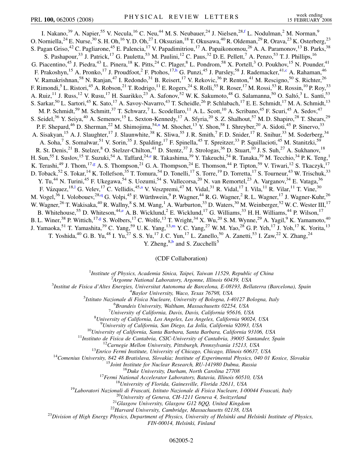<span id="page-1-6"></span><span id="page-1-4"></span><span id="page-1-2"></span>I. Nakano,<sup>39</sup> A. Napier,<sup>55</sup> V. Necula,<sup>16</sup> C. Neu,<sup>44</sup> M. S. Neubauer,<sup>24</sup> J. Nielsen,<sup>28,[f](#page-6-11)</sup> L. Nodulman,<sup>2</sup> M. Norman,<sup>9</sup> O. Norniella,<sup>24</sup> E. Nurse,<sup>30</sup> S. H. Oh,<sup>16</sup> Y. D. Oh,<sup>27</sup> I. Oksuzian,<sup>18</sup> T. Okusawa,<sup>40</sup> R. Oldeman,<sup>29</sup> R. Orava,<sup>23</sup> K. Osterberg,<sup>23</sup> S. Pagan Griso,<sup>42</sup> C. Pagliarone,<sup>45</sup> E. Palencia,<sup>17</sup> V. Papadimitriou,<sup>17</sup> A. Papaikonomou,<sup>26</sup> A. A. Paramonov,<sup>13</sup> B. Parks,<sup>38</sup> S. Pashapour,<sup>33</sup> J. Patrick,<sup>17</sup> G. Pauletta,<sup>53</sup> M. Paulini,<sup>12</sup> C. Paus,<sup>32</sup> D. E. Pellett,<sup>7</sup> A. Penzo,<sup>53</sup> T. J. Phillips,<sup>16</sup> G. Piacentino,<sup>45</sup> J. Piedra,<sup>43</sup> L. Pinera,<sup>18</sup> K. Pitts,<sup>24</sup> C. Plager,<sup>8</sup> L. Pondrom,<sup>58</sup> X. Portell,<sup>3</sup> O. Poukhov,<sup>15</sup> N. Pounder,<sup>41</sup> F. Prakos[h](#page-6-12)yn,<sup>15</sup> A. Pronko,<sup>17</sup> J. Proudfoot,<sup>2</sup> F. Ptohos,<sup>17,h</sup> G. Punzi,<sup>45</sup> J. Pursley,<sup>58</sup> J. Rademacker,<sup>41[,c](#page-6-6)</sup> A. Rahaman,<sup>46</sup> V. Ramakrishnan,<sup>58</sup> N. Ranjan,<sup>47</sup> I. Redondo,<sup>31</sup> B. Reisert,<sup>17</sup> V. Rekovic,<sup>36</sup> P. Renton,<sup>41</sup> M. Rescigno,<sup>50</sup> S. Richter,<sup>26</sup> F. Rimondi,<sup>5</sup> L. Ristori,<sup>45</sup> A. Robson,<sup>21</sup> T. Rodrigo,<sup>11</sup> E. Rogers,<sup>24</sup> S. Rolli,<sup>55</sup> R. Roser,<sup>17</sup> M. Rossi,<sup>53</sup> R. Rossin,<sup>10</sup> P. Roy,<sup>33</sup> A. Ruiz,<sup>11</sup> J. Russ,<sup>12</sup> V. Rusu,<sup>17</sup> H. Saarikko,<sup>23</sup> A. Safonov,<sup>52</sup> W. K. Sakumoto,<sup>48</sup> G. Salamanna,<sup>50</sup> O. Saltó,<sup>3</sup> L. Santi,<sup>53</sup> S. Sarkar,<sup>50</sup> L. Sartori,<sup>45</sup> K. Sato,<sup>17</sup> A. Savoy-Navarro,<sup>43</sup> T. Scheidle,<sup>26</sup> P. Schlabach,<sup>17</sup> E. E. Schmidt,<sup>17</sup> M. A. Schmidt,<sup>13</sup> M. P. Schmidt,<sup>59</sup> M. Schmitt,<sup>37</sup> T. Schwarz,<sup>7</sup> L. Scodellaro,<sup>11</sup> A. L. Scott,<sup>10</sup> A. Scribano,<sup>45</sup> F. Scuri,<sup>45</sup> A. Sedov,<sup>47</sup> S. Seidel,<sup>36</sup> Y. Seiya,<sup>40</sup> A. Semenov,<sup>15</sup> L. Sexton-Kennedy,<sup>17</sup> A. Sfyria,<sup>20</sup> S. Z. Shalhout,<sup>57</sup> M. D. Shapiro,<sup>28</sup> T. Shears,<sup>29</sup> P. F. Shepard,<sup>46</sup> D. Sherman,<sup>22</sup> M. Shimojima,<sup>54[,n](#page-6-13)</sup> M. Shochet,<sup>13</sup> Y. Shon,<sup>58</sup> I. Shreyber,<sup>20</sup> A. Sidoti,<sup>45</sup> P. Sinervo,<sup>33</sup> A. Sisakyan,<sup>15</sup> A. J. Slaughter,<sup>17</sup> J. Slaunwhite,<sup>38</sup> K. Sliwa,<sup>55</sup> J. R. Smith,<sup>7</sup> F. D. Snider,<sup>17</sup> R. Snihur,<sup>33</sup> M. Soderberg,<sup>34</sup> A. Soha,<sup>7</sup> S. Somalwar,<sup>51</sup> V. Sorin,<sup>35</sup> J. Spalding,<sup>17</sup> F. Spinella,<sup>45</sup> T. Spreitzer,<sup>33</sup> P. Squillacioti,<sup>45</sup> M. Stanitzki,<sup>59</sup> R. St. Denis,<sup>21</sup> B. Stelzer,<sup>8</sup> O. Stelzer-Chilton,<sup>41</sup> D. Stentz,<sup>37</sup> J. Strologas,<sup>36</sup> D. Stuart,<sup>10</sup> J. S. Suh,<sup>27</sup> A. Sukhanov,<sup>18</sup> H. Sun,<sup>55</sup> I. Suslov,<sup>15</sup> T. Suzuki,<sup>54</sup> A. Taffard,<sup>24[,e](#page-6-14)</sup> R. Takashima,<sup>39</sup> Y. Takeuchi,<sup>54</sup> R. Tanaka,<sup>39</sup> M. Tecchio,<sup>34</sup> P. K. Teng,<sup>1</sup> K. Terashi,<sup>49</sup> J. Thom,<sup>17[,g](#page-6-15)</sup> A. S. Thompson,<sup>21</sup> G. A. Thompson,<sup>24</sup> E. Thomson,<sup>44</sup> P. Tipton,<sup>59</sup> V. Tiwari,<sup>12</sup> S. Tkaczyk,<sup>17</sup> D. Toback,<sup>52</sup> S. Tokar,<sup>14</sup> K. Tollefson,<sup>35</sup> T. Tomura,<sup>54</sup> D. Tonelli,<sup>17</sup> S. Torre,<sup>19</sup> D. Torretta,<sup>17</sup> S. Tourneur,<sup>43</sup> W. Trischuk,<sup>33</sup> Y. Tu,<sup>44</sup> N. Turini,<sup>45</sup> F. Ukegawa,<sup>54</sup> S. Uozumi,<sup>54</sup> S. Vallecorsa,<sup>20</sup> N. van Remortel,<sup>23</sup> A. Varganov,<sup>34</sup> E. Vataga,<sup>36</sup> F. Vázquez, <sup>18,1</sup> G. Velev, <sup>17</sup> C. Vellidis, <sup>45[,a](#page-6-5)</sup> V. Veszpremi, <sup>47</sup> M. Vidal, <sup>31</sup> R. Vidal, <sup>17</sup> I. Vila, <sup>11</sup> R. Vilar, <sup>11</sup> T. Vine, <sup>30</sup> M. Vogel,<sup>36</sup> I. Volobouev,<sup>28,[q](#page-6-7)</sup> G. Volpi,<sup>45</sup> F. Würthwein,<sup>9</sup> P. Wagner,<sup>44</sup> R. G. Wagner,<sup>2</sup> R. L. Wagner,<sup>17</sup> J. Wagner-Kuhr,<sup>26</sup> W. Wagner,<sup>26</sup> T. Wakisaka,<sup>40</sup> R. Wallny,<sup>8</sup> S. M. Wang,<sup>1</sup> A. Warburton,<sup>33</sup> D. Waters,<sup>30</sup> M. Weinberger,<sup>52</sup> W. C. Wester III,<sup>17</sup> B. Whitehouse,<sup>55</sup> D. Whiteson,<sup>44[,e](#page-6-14)</sup> A. B. Wicklund,<sup>2</sup> E. Wicklund,<sup>17</sup> G. Williams,<sup>33</sup> H. H. Williams,<sup>44</sup> P. Wilson,<sup>17</sup> B. L. Winer,<sup>38</sup> P. Wittich,<sup>17[,g](#page-6-15)</sup> S. Wolbers,<sup>17</sup> C. Wolfe,<sup>13</sup> T. Wright,<sup>34</sup> X. Wu,<sup>20</sup> S. M. Wynne,<sup>29</sup> A. Yagil,<sup>9</sup> K. Yamamoto,<sup>40</sup> J. Ya[m](#page-6-16)aoka,<sup>51</sup> T. Yamashita,<sup>39</sup> C. Yang,<sup>59</sup> U.K. Yang,<sup>13,m</sup> Y.C. Yang,<sup>27</sup> W.M. Yao,<sup>28</sup> G.P. Yeh,<sup>17</sup> J. Yoh,<sup>17</sup> K. Yorita,<sup>13</sup> T. Yoshida,<sup>40</sup> G. B. Yu,<sup>48</sup> I. Yu,<sup>27</sup> S. S. Yu,<sup>17</sup> J. C. Yun,<sup>17</sup> L. Zanello,<sup>50</sup> A. Zanetti,<sup>53</sup> I. Zaw,<sup>22</sup> X. Zhang,<sup>24</sup>

Y. Zheng,  $8,b$  $8,b$  and S. Zucchelli<sup>5</sup>

## (CDF Collaboration)

<sup>1</sup>*Institute of Physics, Academia Sinica, Taipei, Taiwan 11529, Republic of China*<br><sup>2</sup><sup>4</sup> *Languna National Laboratory, Argonna Illinois 60430, USA* 

*Argonne National Laboratory, Argonne, Illinois 60439, USA* <sup>3</sup>

<span id="page-1-5"></span><span id="page-1-3"></span><span id="page-1-1"></span><span id="page-1-0"></span>*Institut de Fisica d'Altes Energies, Universitat Autonoma de Barcelona, E-08193, Bellaterra (Barcelona), Spain* <sup>4</sup>

<sup>4</sup>Baylor University, Waco, Texas 76798, USA<br><sup>5</sup> Istitute Nazionale di Fisica Nucleare, University of Bologna, La

*Istituto Nazionale di Fisica Nucleare, University of Bologna, I-40127 Bologna, Italy* <sup>6</sup>

*Brandeis University, Waltham, Massachusetts 02254, USA* <sup>7</sup>

*University of California, Davis, Davis, California 95616, USA* <sup>8</sup>

*University of California, Los Angeles, Los Angeles, California 90024, USA* <sup>9</sup>

<sup>9</sup>University of California, San Diego, La Jolla, California 92093, USA<br><sup>10</sup>University of California, Santa Barbara, Santa Barbara, California 93106, USA<br><sup>11</sup>Instituto de Fisica de Cantabria, CSIC-University of Cantabria,

*FIN-00014, Helsinki, Finland*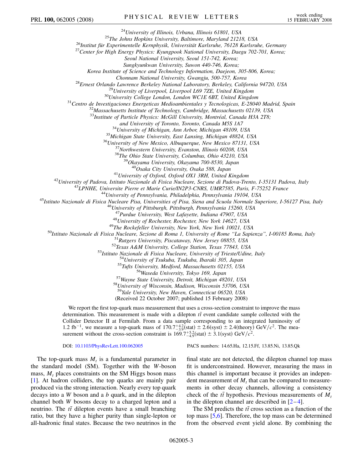<sup>24</sup>University of Illinois, Urbana, Illinois 61801, USA<br><sup>25</sup>The Johns Hopkins University, Baltimore, Maryland 21218, USA<br><sup>26</sup>Institut für Experimentelle Kernphysik, Universität Karlsruhe, 76128 Karlsruhe, Germany<br><sup>27</sup>Cent

*Seoul National University, Seoul 151-742, Korea;*

*Sungkyunkwan University, Suwon 440-746, Korea;*

*Korea Institute of Science and Technology Information, Daejeon, 305-806, Korea;*

Chonnam National University, Gwangju, 500-757, Korea<br><sup>28</sup>Ernest Orlando Lawrence Berkeley National Laboratory, Berkeley, California 94720, USA<br><sup>29</sup>University of Liverpool, Liverpool L69 7ZE, United Kingdom<br><sup>30</sup>University

<sup>33</sup>Institute of Particle Physics: McGill University, Montréal, Canada H3A 2T8;

and University of Toronto, Toronto, Canada M5S 1A7<br><sup>34</sup>University of Michigan, Ann Arbor, Michigan 48109, USA<br><sup>35</sup>Michigan State University, East Lansing, Michigan 48824, USA<br><sup>36</sup>University of New Mexico, Albuquerque, New

<sup>41</sup>University of Oxford, Oxford OX1 3RH, United Kingdom<br><sup>42</sup>University of Padova, Istituto Nazionale di Fisica Nucleare, Sezione di Padova-Trento, I-35131 Padova, Italy<br><sup>43</sup>LPNHE, Universite Pierre et Marie Curie/IN2P3-C

<sup>47</sup>Purdue University, West Lafayette, Indiana 47907, USA<br><sup>48</sup>University of Rochester, Rochester, New York 14627, USA<br><sup>48</sup>University of Rochester, Rochester, New York 14627, USA<br><sup>49</sup>The Rockefeller University, New York, N

<sup>59</sup>*Yale University, New Haven, Connecticut 06520, USA*

(Received 22 October 2007; published 15 February 2008)

We report the first top-quark mass measurement that uses a cross-section constraint to improve the mass determination. This measurement is made with a dilepton  $t\bar{t}$  event candidate sample collected with the Collider Detector II at Fermilab. From a data sample corresponding to an integrated luminosity of 1.2 fb<sup>-1</sup>, we measure a top-quark mass of  $170.7^{+4.2}_{-3.9}$ (stat)  $\pm$  2.6(syst)  $\pm$  2.4(theory) GeV/ $c^2$ . The measurement without the cross-section constraint is  $169.7^{+5.2}_{-4.9}$  (stat)  $\pm 3.1$  (syst) GeV/ $c^2$ .

DOI: [10.1103/PhysRevLett.100.062005](http://dx.doi.org/10.1103/PhysRevLett.100.062005) PACS numbers: 14.65.Ha, 12.15.Ff, 13.85.Ni, 13.85.Qk

The top-quark mass  $M_t$  is a fundamental parameter in the standard model (SM). Together with the *W*-boson mass,  $M_t$  places constraints on the SM Higgs boson mass [\[1\]](#page-6-18). At hadron colliders, the top quarks are mainly pair produced via the strong interaction. Nearly every top quark decays into a *W* boson and a *b* quark, and in the dilepton channel both *W* bosons decay to a charged lepton and a neutrino. The  $t\bar{t}$  dilepton events have a small branching ratio, but they have a higher purity than single-lepton or all-hadronic final states. Because the two neutrinos in the final state are not detected, the dilepton channel top mass fit is underconstrained. However, measuring the mass in this channel is important because it provides an independent measurement of  $M_t$  that can be compared to measurements in other decay channels, allowing a consistency check of the  $t\bar{t}$  hypothesis. Previous measurements of  $M_t$ in the dilepton channel are described in  $[2-4]$  $[2-4]$  $[2-4]$ .

The SM predicts the  $t\bar{t}$  cross section as a function of the top mass [\[5,](#page-6-21)[6](#page-6-22)]. Therefore, the top mass can be determined from the observed event yield alone. By combining the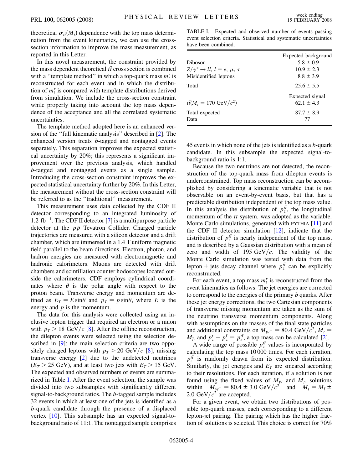theoretical  $\sigma_{t\bar{t}}(M_t)$  dependence with the top mass determination from the event kinematics, we can use the crosssection information to improve the mass measurement, as reported in this Letter.

In this novel measurement, the constraint provided by the mass dependent theoretical  $t\bar{t}$  cross section is combined with a ''template method'' in which a top-quark mass *mr <sup>t</sup>* is reconstructed for each event and in which the distribution of  $m_t^r$  is compared with template distributions derived from simulation. We include the cross-section constraint while properly taking into account the top mass dependence of the acceptance and all the correlated systematic uncertainties.

The template method adopted here is an enhanced version of the ''full kinematic analysis'' described in [[2\]](#page-6-19). The enhanced version treats *b*-tagged and nontagged events separately. This separation improves the expected statistical uncertainty by 20%; this represents a significant improvement over the previous analysis, which handled *b*-tagged and nontagged events as a single sample. Introducing the cross-section constraint improves the expected statistical uncertainty further by 20%. In this Letter, the measurement without the cross-section constraint will be referred to as the ''traditional'' measurement.

This measurement uses data collected by the CDF II detector corresponding to an integrated luminosity of 1.2 fb<sup>-1</sup>. The CDF II detector [\[7\]](#page-6-23) is a multipurpose particle detector at the *pp* Tevatron Collider. Charged particle trajectories are measured with a silicon detector and a drift chamber, which are immersed in a 1.4 T uniform magnetic field parallel to the beam directions. Electron, photon, and hadron energies are measured with electromagnetic and hadronic calorimeters. Muons are detected with drift chambers and scintillation counter hodoscopes located outside the calorimeters. CDF employs cylindrical coordinates where  $\theta$  is the polar angle with respect to the proton beam. Transverse energy and momentum are defined as  $E_T = E \sin \theta$  and  $p_T = p \sin \theta$ , where *E* is the energy and *p* is the momentum.

The data for this analysis were collected using an inclusive lepton trigger that required an electron or a muon with  $p_T > 18$  GeV/c [\[8](#page-6-24)]. After the offline reconstruction, the dilepton events were selected using the selection de-scribed in [\[9](#page-6-25)]; the main selection criteria are two oppositely charged leptons with  $p_T > 20$  GeV/c [\[8](#page-6-24)], missing transverse energy [\[2](#page-6-19)] due to the undetected neutrinos  $(E_T > 25 \text{ GeV})$ , and at least two jets with  $E_T > 15 \text{ GeV}$ . The expected and observed numbers of events are summarized in Table [I](#page-3-0). After the event selection, the sample was divided into two subsamples with significantly different signal-to-background ratios. The *b*-tagged sample includes 32 events in which at least one of the jets is identified as a *b*-quark candidate through the presence of a displaced vertex [\[10\]](#page-6-26). This subsample has an expected signal-tobackground ratio of 11:1. The nontagged sample comprises

<span id="page-3-0"></span>TABLE I. Expected and observed number of events passing event selection criteria. Statistical and systematic uncertainties have been combined.

|                                               | Expected background |  |
|-----------------------------------------------|---------------------|--|
| <b>Diboson</b>                                | $5.8 \pm 0.9$       |  |
| $Z/\gamma^* \rightarrow ll, l = e, \mu, \tau$ | $10.9 \pm 2.3$      |  |
| Misidentified leptons                         | $8.8 \pm 3.9$       |  |
| Total                                         | $25.6 \pm 5.5$      |  |
|                                               | Expected signal     |  |
| $t\bar{t}(M_t = 170 \text{ GeV}/c^2)$         | 62.1 $\pm$ 4.3      |  |
| Total expected                                | $87.7 \pm 8.9$      |  |
| Data                                          | 77                  |  |

45 events in which none of the jets is identified as a *b*-quark candidate. In this subsample the expected signal-tobackground ratio is 1:1.

Because the two neutrinos are not detected, the reconstruction of the top-quark mass from dilepton events is underconstrained. Top mass reconstruction can be accomplished by considering a kinematic variable that is not observable on an event-by-event basis, but that has a predictable distribution independent of the top mass value. In this analysis the distribution of  $p_z^{t\bar{t}}$ , the longitudinal momentum of the  $t\bar{t}$  system, was adopted as the variable. Monte Carlo simulations, generated with PYTHIA [\[11](#page-6-27)] and the CDF II detector simulation  $[12]$  $[12]$  $[12]$ , indicate that the distribution of  $p_z^{t}$  is nearly independent of the top mass, and is described by a Gaussian distribution with a mean of zero and width of 195  $GeV/c$ . The validity of the Monte Carlo simulation was tested with data from the lepton + jets decay channel where  $p_z^{t\bar{t}}$  can be explicitly reconstructed.

For each event, a top mass  $m_t^r$  is reconstructed from the event kinematics as follows. The jet energies are corrected to correspond to the energies of the primary *b* quarks. After these jet energy corrections, the two Cartesian components of transverse missing momentum are taken as the sum of the neutrino transverse momentum components. Along with assumptions on the masses of the final state particles and additional constraints on  $M_{W^{\pm}} = 80.4 \text{ GeV}/c^2$ ,  $M_t =$  $M_{\bar{t}}$ , and  $p_z^t + p_{\bar{z}}^{\bar{t}} = p_z^{t\bar{t}}$ , a top mass can be calculated [\[2\]](#page-6-19).

A wide range of possible  $p_z^{t\bar{t}}$  values is incorporated by calculating the top mass 10 000 times. For each iteration,  $p_z^{t\bar{t}}$  is randomly drawn from its expected distribution. Similarly, the jet energies and  $E_T$  are smeared according to their resolutions. For each iteration, if a solution is not found using the fixed values of  $M_W$  and  $M_t$ , solutions within  $M_{W^{\pm}} = 80.4 \pm 3.0 \text{ GeV}/c^2$  and  $M_t = M_{\bar{t}} \pm$ 2.0 GeV $/c^2$  are accepted.

For a given event, we obtain two distributions of possible top-quark masses, each corresponding to a different lepton-jet pairing. The pairing which has the higher fraction of solutions is selected. This choice is correct for 70%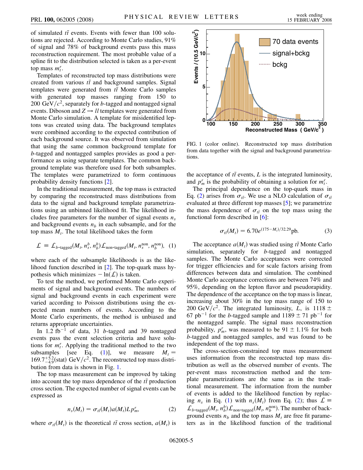of simulated  $t\bar{t}$  events. Events with fewer than 100 solutions are rejected. According to Monte Carlo studies, 91% of signal and 78% of background events pass this mass reconstruction requirement. The most probable value of a spline fit to the distribution selected is taken as a per-event top mass  $m_t^r$ .

Templates of reconstructed top mass distributions were created from various  $t\bar{t}$  and background samples. Signal templates were generated from  $t\bar{t}$  Monte Carlo samples with generated top masses ranging from 150 to 200 GeV $/c^2$ , separately for *b*-tagged and nontagged signal events. Diboson and  $Z \rightarrow ll$  templates were generated from Monte Carlo simulation. A template for misidentified leptons was created using data. The background templates were combined according to the expected contribution of each background source. It was observed from simulation that using the same common background template for *b*-tagged and nontagged samples provides as good a performance as using separate templates. The common background template was therefore used for both subsamples. The templates were parametrized to form continuous probability density functions [[2](#page-6-19)].

In the traditional measurement, the top mass is extracted by comparing the reconstructed mass distributions from data to the signal and background template parametrizations using an unbinned likelihood fit. The likelihood includes free parameters for the number of signal events  $n_s$ and background events  $n<sub>b</sub>$  in each subsample, and for the top mass  $M_t$ . The total likelihood takes the form

<span id="page-4-0"></span>
$$
\mathcal{L} = \mathcal{L}_{b\text{-tagged}}(M_t, n_s^b, n_b^b) \mathcal{L}_{\text{non-tagged}}(M_t, n_s^{\text{non}}, n_b^{\text{non}}), (1)
$$

where each of the subsample likelihoods is as the likelihood function described in [[2\]](#page-6-19). The top-quark mass hypothesis which minimizes  $-\ln(L)$  is taken.

To test the method, we performed Monte Carlo experiments of signal and background events. The numbers of signal and background events in each experiment were varied according to Poisson distributions using the expected mean numbers of events. According to the Monte Carlo experiments, the method is unbiased and returns appropriate uncertainties.

In  $1.2 \text{ fb}^{-1}$  of data, 31 *b*-tagged and 39 nontagged events pass the event selection criteria and have solutions for  $m_t^r$ . Applying the traditional method to the two subsamples [see Eq. [\(1](#page-4-0))], we measure  $M_t =$  $169.7^{+5.2}_{-4.9}$ (stat) GeV/ $c^2$ . The reconstructed top mass distribution from data is shown in Fig. [1.](#page-4-1)

<span id="page-4-2"></span>The top mass measurement can be improved by taking into account the top mass dependence of the  $t\bar{t}$  production cross section. The expected number of signal events can be expressed as

$$
n_s(M_t) = \sigma_{t\bar{t}}(M_t) a(M_t) L p_m^r, \qquad (2)
$$

where  $\sigma_{t\bar{t}}(M_t)$  is the theoretical  $t\bar{t}$  cross section,  $a(M_t)$  is

<span id="page-4-1"></span>

FIG. 1 (color online). Reconstructed top mass distribution from data together with the signal and background parametrizations.

the acceptance of  $t\bar{t}$  events,  $L$  is the integrated luminosity, and  $p_m^r$  is the probability of obtaining a solution for  $m_t^r$ .

The principal dependence on the top-quark mass in Eq. [\(2](#page-4-2)) arises from  $\sigma_{t\bar{t}}$ . We use a NLO calculation of  $\sigma_{t\bar{t}}$ evaluated at three different top masses [\[5\]](#page-6-21); we parametrize the mass dependence of  $\sigma_{t\bar{t}}$  on the top mass using the functional form described in [[6](#page-6-22)]:

$$
\sigma_{t\bar{t}}(M_t) = 6.70e^{(175 - M_t)/32.29} \text{pb.}
$$
 (3)

The acceptance  $a(M_t)$  was studied using  $t\bar{t}$  Monte Carlo simulation, separately for *b*-tagged and nontagged samples. The Monte Carlo acceptances were corrected for trigger efficiencies and for scale factors arising from differences between data and simulation. The combined Monte Carlo acceptance corrections are between 74% and 95%, depending on the lepton flavor and pseudorapidity. The dependence of the acceptance on the top mass is linear, increasing about 30% in the top mass range of 150 to 200 GeV/ $c^2$ . The integrated luminosity, *L*, is 1118  $\pm$ 67 pb<sup>-1</sup> for the *b*-tagged sample and  $1189 \pm 71$  pb<sup>-1</sup> for the nontagged sample. The signal mass reconstruction probability,  $p_m^r$ , was measured to be  $91 \pm 1.1\%$  for both *b*-tagged and nontagged samples, and was found to be independent of the top mass.

The cross-section-constrained top mass measurement uses information from the reconstructed top mass distribution as well as the observed number of events. The per-event mass reconstruction method and the template parametrizations are the same as in the traditional measurement. The information from the number of events is added to the likelihood function by replacing  $n_s$  in Eq. [\(1](#page-4-0)) with  $n_s(M_t)$  from Eq. [\(2](#page-4-2)); thus  $\mathcal{L} \equiv$  $\mathcal{L}_{b\text{-tagged}}(M_t, n_b^b) \mathcal{L}_{\text{non-tagged}}(M_t, n_b^{\text{non}})$ . The number of background events  $n<sub>b</sub>$  and the top mass  $M<sub>t</sub>$  are free fit parameters as in the likelihood function of the traditional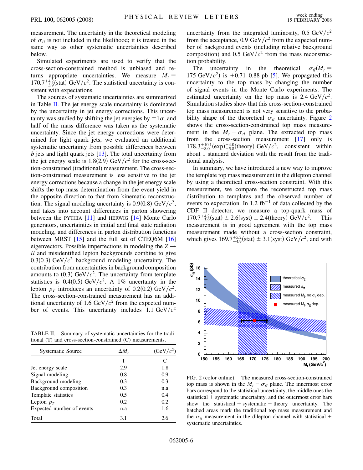measurement. The uncertainty in the theoretical modeling of  $\sigma_{t\bar{t}}$  is not included in the likelihood; it is treated in the same way as other systematic uncertainties described below.

Simulated experiments are used to verify that the cross-section-constrained method is unbiased and returns appropriate uncertainties. We measure  $M_t =$  $170.7^{+4.2}_{-3.9}$ (stat) GeV/ $c^2$ . The statistical uncertainty is consistent with expectations.

The sources of systematic uncertainties are summarized in Table [II.](#page-5-0) The jet energy scale uncertainty is dominated by the uncertainty in jet energy corrections. This uncertainty was studied by shifting the jet energies by  $\pm 1\sigma$ , and half of the mass difference was taken as the systematic uncertainty. Since the jet energy corrections were determined for light quark jets, we evaluated an additional systematic uncertainty from possible differences between *b* jets and light quark jets [\[13\]](#page-6-29). The total uncertainty from the jet energy scale is  $1.8(2.9)$  GeV/ $c<sup>2</sup>$  for the cross-section-constrained (traditional) measurement. The cross-section-constrained measurement is less sensitive to the jet energy corrections because a change in the jet energy scale shifts the top mass determination from the event yield in the opposite direction to that from kinematic reconstruction. The signal modeling uncertainty is  $0.9(0.8)$  GeV/ $c^2$ , and takes into account differences in parton showering between the PYTHIA [\[11\]](#page-6-27) and HERWIG [\[14\]](#page-6-30) Monte Carlo generators, uncertainties in initial and final state radiation modeling, and differences in parton distribution functions between MRST  $[15]$  and the full set of CTEQ6M  $[16]$ eigenvectors. Possible imperfections in modeling the  $Z \rightarrow$ *ll* and misidentified lepton backgrounds combine to give 0.3(0.3) GeV $/c^2$  background modeling uncertainty. The contribution from uncertainties in background composition amounts to  $(0.3)$  GeV/ $c^2$ . The uncertainty from template statistics is 0.4(0.5) GeV/ $c^2$ . A 1% uncertainty in the lepton  $p<sub>T</sub>$  introduces an uncertainty of 0.2(0.2) GeV/ $c<sup>2</sup>$ . The cross-section-constrained measurement has an additional uncertainty of 1.6 GeV $/c^2$  from the expected number of events. This uncertainty includes  $1.1 \text{ GeV}/c^2$ 

<span id="page-5-0"></span>TABLE II. Summary of systematic uncertainties for the traditional (T) and cross-section-constrained (C) measurements.

| <b>Systematic Source</b>  | $\Delta M$ , | $(GeV/c^2)$ |
|---------------------------|--------------|-------------|
|                           | т            | C           |
| Jet energy scale          | 2.9          | 1.8         |
| Signal modeling           | 0.8          | 0.9         |
| Background modeling       | 0.3          | 0.3         |
| Background composition    | 0.3          | n.a         |
| Template statistics       | 0.5          | 0.4         |
| Lepton $p_T$              | 0.2          | 0.2         |
| Expected number of events | n.a          | 1.6         |
| Total                     | 3.1          | 2.6         |

uncertainty from the integrated luminosity,  $0.5 \text{ GeV}/c^2$ from the acceptance,  $0.9 \text{ GeV}/c^2$  from the expected number of background events (including relative background composition) and  $0.5 \text{ GeV}/c^2$  from the mass reconstruction probability.

The uncertainty in the theoretical  $\sigma_{t\bar{t}}(M_t =$ 17[5](#page-6-21) GeV/ $c^2$ ) is +0.71–0.88 pb [5]. We propagated this uncertainty to the top mass by changing the number of signal events in the Monte Carlo experiments. The estimated uncertainty on the top mass is 2.4  $GeV/c^2$ . Simulation studies show that this cross-section-constrained top mass measurement is not very sensitive to the probability shape of the theoretical  $\sigma_{t\bar{t}}$  uncertainty. Figure [2](#page-5-1) shows the cross-section-constrained top mass measurement in the  $M_t - \sigma_{t\bar{t}}$  plane. The extracted top mass from the cross-section measurement [\[17\]](#page-6-33) only is  $178.3^{+10.1}_{-8.0}$  (exp)  $^{+4.0}_{-5.8}$  (theory) GeV/ $c^2$ , consistent within about 1 standard deviation with the result from the traditional analysis.

In summary, we have introduced a new way to improve the template top mass measurement in the dilepton channel by using a theoretical cross-section constraint. With this measurement, we compare the reconstructed top mass distribution to templates and the observed number of events to expectation. In 1.2 fb<sup>-1</sup> of data collected by the CDF II detector, we measure a top-quark mass of  $170.7^{+4.2}_{-3.9}$ (stat)  $\pm 2.6$ (syst)  $\pm 2.4$ (theory) GeV/ $c^2$ . This measurement is in good agreement with the top mass measurement made without a cross-section constraint, which gives  $169.7^{+5.2}_{-4.9}$ (stat)  $\pm 3.1$ (syst) GeV/ $c^2$ , and with

<span id="page-5-1"></span>

FIG. 2 (color online). The measured cross-section-constrained top mass is shown in the  $M_t - \sigma_{t\bar{t}}$  plane. The innermost error bars correspond to the statistical uncertainty, the middle ones the statistical + systematic uncertainty, and the outermost error bars show the statistical  $+$  systematic  $+$  theory uncertainty. The hatched areas mark the traditional top mass measurement and the  $\sigma_{t\bar{t}}$  measurement in the dilepton channel with statistical + systematic uncertainties.